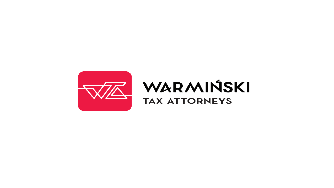

# WARMIŃSKI **TAX ATTORNEYS**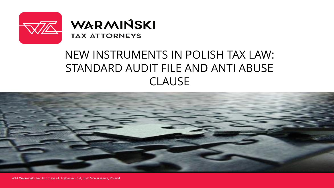



# NEW INSTRUMENTS IN POLISH TAX LAW: STANDARD AUDIT FILE AND ANTI ABUSE CLAUSE



WTA Warmiński Tax Attorneys ul. Trębacka 3/54, 00-074 Warszawa, Poland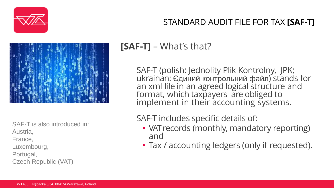

#### STANDARD AUDIT FILE FOR TAX **[SAF-T]**



SAF-T is also introduced in: Austria, France, Luxembourg, Portugal, Czech Republic (VAT)

# **[SAF-T]** – What's that?

SAF-T (polish: Jednolity Plik Kontrolny, JPK; ukrainan: Єдиний контрольний файл) stands for an xml file in an agreed logical structure and format, which taxpayers are obliged to implement in their accounting systems.

## SAF-T includes specific details of:

- VAT records (monthly, mandatory reporting) and
- Tax / accounting ledgers (only if requested).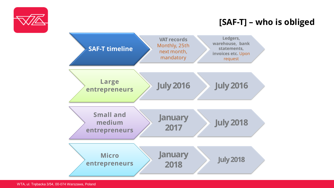

## **[SAF-T] – who is obliged**

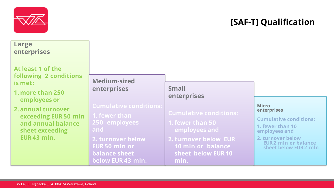

## **[SAF-T] Qualification**

#### **Large enterprises**

**At least 1 of the following 2 conditions is met:**

**1. more than 250 employees or**

**2. annual turnover exceeding EUR 50 mln and annual balance sheet exceeding EUR 43 mln.**

#### **Medium-sized enterprises**

**1. fewer than 250 employees and**

**2. turnover below EUR 50 mln or balance sheet below EUR 43 mln.**

#### **Small enterprises**

**Cumulative conditions:**

**1. fewer than 50 employees and**

**2. turnover below EUR 10 mln or balance sheet below EUR 10 mln.**

#### **Micro enterprises**

**Cumulative conditions:**

**1. fewer than 10 employees and**

**2. turnover below EUR 2 mln or balance sheet below EUR 2 mln**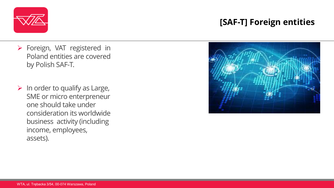

- Foreign, VAT registered in Poland entities are covered by Polish SAF-T.
- $\triangleright$  In order to qualify as Large, SME or micro enterpreneur one should take under consideration its worldwide business activity (including income, employees, assets).

## **[SAF-T] Foreign entities**

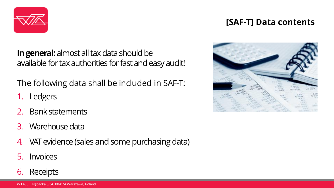

#### **[SAF-T] Data contents**

**In general:** almost all tax data should be available for tax authorities for fast and easy audit!

The following data shall be included in SAF-T:

- 1. Ledgers
- 2. Bank statements
- 3. Warehouse data
- 4. VAT evidence (sales and some purchasing data)
- 5. Invoices
- 6. Receipts

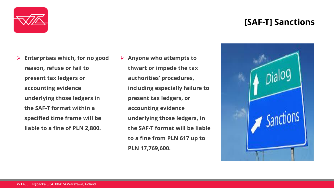#### **[SAF-T] Sanctions**



- **Enterprises which, for no good reason, refuse or fail to present tax ledgers or accounting evidence underlying those ledgers in the SAF-T format within a specified time frame will be liable to a fine of PLN 2,800.**
- **Anyone who attempts to thwart or impede the tax authorities' procedures, including especially failure to present tax ledgers, or accounting evidence underlying those ledgers, in the SAF-T format will be liable to a fine from PLN 617 up to PLN 17,769,600.**

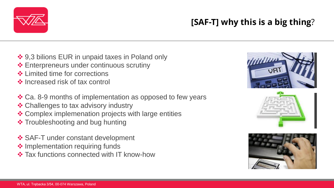

❖ Increased risk of tax control

❖ 9,3 bilions EUR in unpaid taxes in Poland only

 $\triangle$  Enterpreneurs under continuous scrutiny

- Ca. 8-9 months of implementation as opposed to few years
- ❖ Challenges to tax advisory industry
- Complex implemenation projects with large entities
- ❖ Troubleshooting and bug hunting

**❖ Limited time for corrections** 

- ❖ SAF-T under constant development
- ❖ Implementation requiring funds
- $\triangle$  **Tax functions connected with IT know-how**

# **[SAF-T] why this is a big thing**?

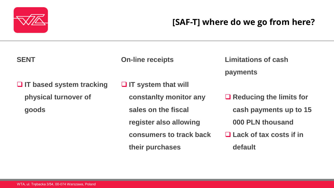

## **[SAF-T] where do we go from here?**

#### **SENT**

**On-line receipts**

**Limitations of cash payments**

 **IT based system tracking physical turnover of goods**

 **IT system that will constanlty monitor any sales on the fiscal register also allowing consumers to track back their purchases**

 **Reducing the limits for cash payments up to 15 000 PLN thousand Lack of tax costs if in** 

**default**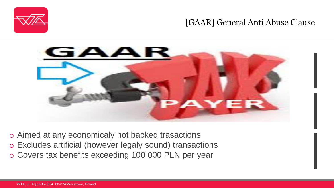

#### [GAAR] General Anti Abuse Clause



o Aimed at any economicaly not backed trasactions o Excludes artificial (however legaly sound) transactions o Covers tax benefits exceeding 100 000 PLN per year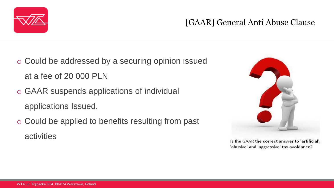

## [GAAR] General Anti Abuse Clause

- o Could be addressed by a securing opinion issued at a fee of 20 000 PLN
- o GAAR suspends applications of individual applications Issued.
- o Could be applied to benefits resulting from past activities



Is the GAAR the correct answer to 'artificial', 'abusive' and 'aggressive' tax avoidance?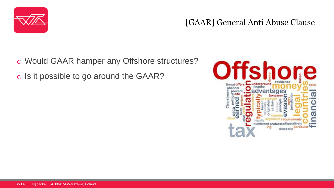

[GAAR] General Anti Abuse Clause

o Would GAAR hamper any Offshore structures? o Is it possible to go around the GAAR?